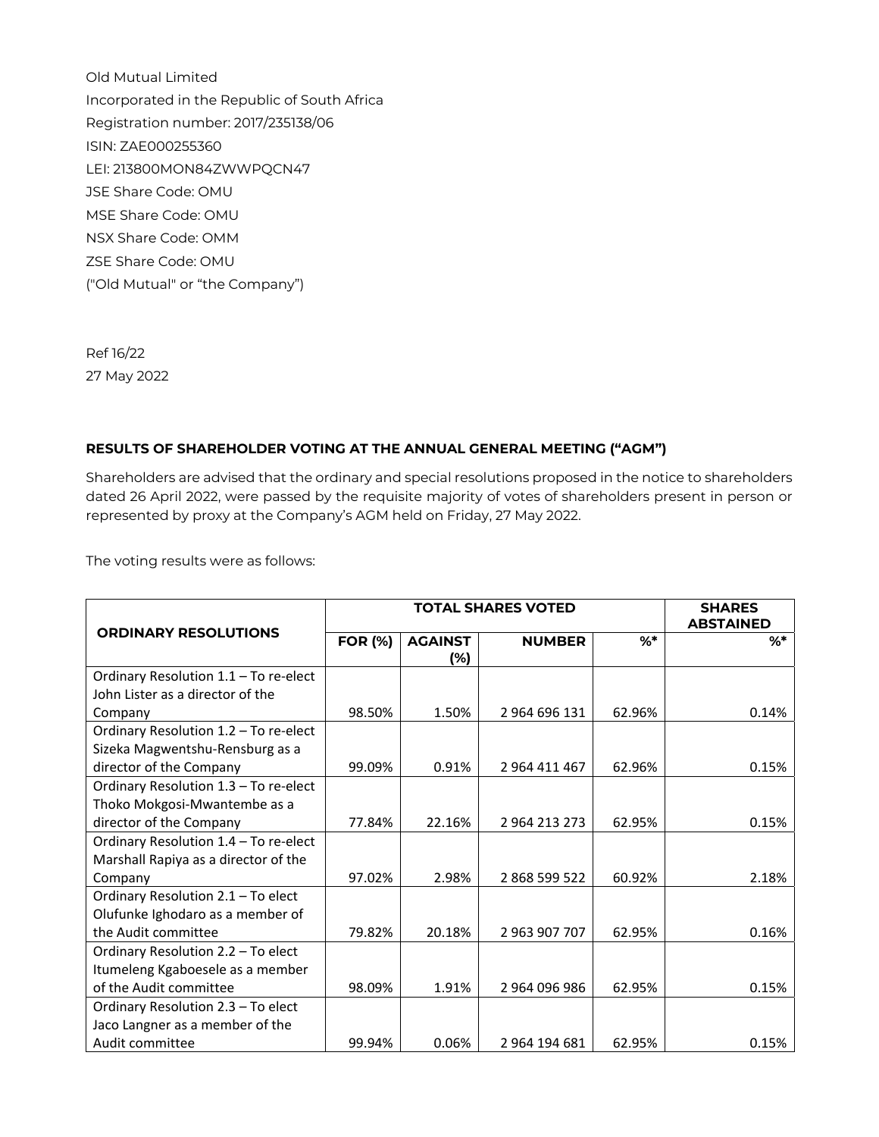Old Mutual Limited Incorporated in the Republic of South Africa Registration number: 2017/235138/06 ISIN: ZAE000255360 LEI: 213800MON84ZWWPQCN47 JSE Share Code: OMU MSE Share Code: OMU NSX Share Code: OMM ZSE Share Code: OMU ("Old Mutual" or "the Company")

Ref 16/22 27 May 2022

#### **RESULTS OF SHAREHOLDER VOTING AT THE ANNUAL GENERAL MEETING ("AGM")**

Shareholders are advised that the ordinary and special resolutions proposed in the notice to shareholders dated 26 April 2022, were passed by the requisite majority of votes of shareholders present in person or represented by proxy at the Company's AGM held on Friday, 27 May 2022.

The voting results were as follows:

|                                       | <b>TOTAL SHARES VOTED</b> |                |               |        | <b>SHARES</b><br><b>ABSTAINED</b> |
|---------------------------------------|---------------------------|----------------|---------------|--------|-----------------------------------|
| <b>ORDINARY RESOLUTIONS</b>           | <b>FOR (%)</b>            | <b>AGAINST</b> | <b>NUMBER</b> | $%$ *  | %*                                |
|                                       |                           | (%)            |               |        |                                   |
| Ordinary Resolution 1.1 - To re-elect |                           |                |               |        |                                   |
| John Lister as a director of the      |                           |                |               |        |                                   |
| Company                               | 98.50%                    | 1.50%          | 2 964 696 131 | 62.96% | 0.14%                             |
| Ordinary Resolution 1.2 - To re-elect |                           |                |               |        |                                   |
| Sizeka Magwentshu-Rensburg as a       |                           |                |               |        |                                   |
| director of the Company               | 99.09%                    | 0.91%          | 2 964 411 467 | 62.96% | 0.15%                             |
| Ordinary Resolution 1.3 - To re-elect |                           |                |               |        |                                   |
| Thoko Mokgosi-Mwantembe as a          |                           |                |               |        |                                   |
| director of the Company               | 77.84%                    | 22.16%         | 2 964 213 273 | 62.95% | 0.15%                             |
| Ordinary Resolution 1.4 - To re-elect |                           |                |               |        |                                   |
| Marshall Rapiya as a director of the  |                           |                |               |        |                                   |
| Company                               | 97.02%                    | 2.98%          | 2868599522    | 60.92% | 2.18%                             |
| Ordinary Resolution 2.1 - To elect    |                           |                |               |        |                                   |
| Olufunke Ighodaro as a member of      |                           |                |               |        |                                   |
| the Audit committee                   | 79.82%                    | 20.18%         | 2 963 907 707 | 62.95% | 0.16%                             |
| Ordinary Resolution 2.2 - To elect    |                           |                |               |        |                                   |
| Itumeleng Kgaboesele as a member      |                           |                |               |        |                                   |
| of the Audit committee                | 98.09%                    | 1.91%          | 2964096986    | 62.95% | 0.15%                             |
| Ordinary Resolution 2.3 - To elect    |                           |                |               |        |                                   |
| Jaco Langner as a member of the       |                           |                |               |        |                                   |
| Audit committee                       | 99.94%                    | 0.06%          | 2 964 194 681 | 62.95% | 0.15%                             |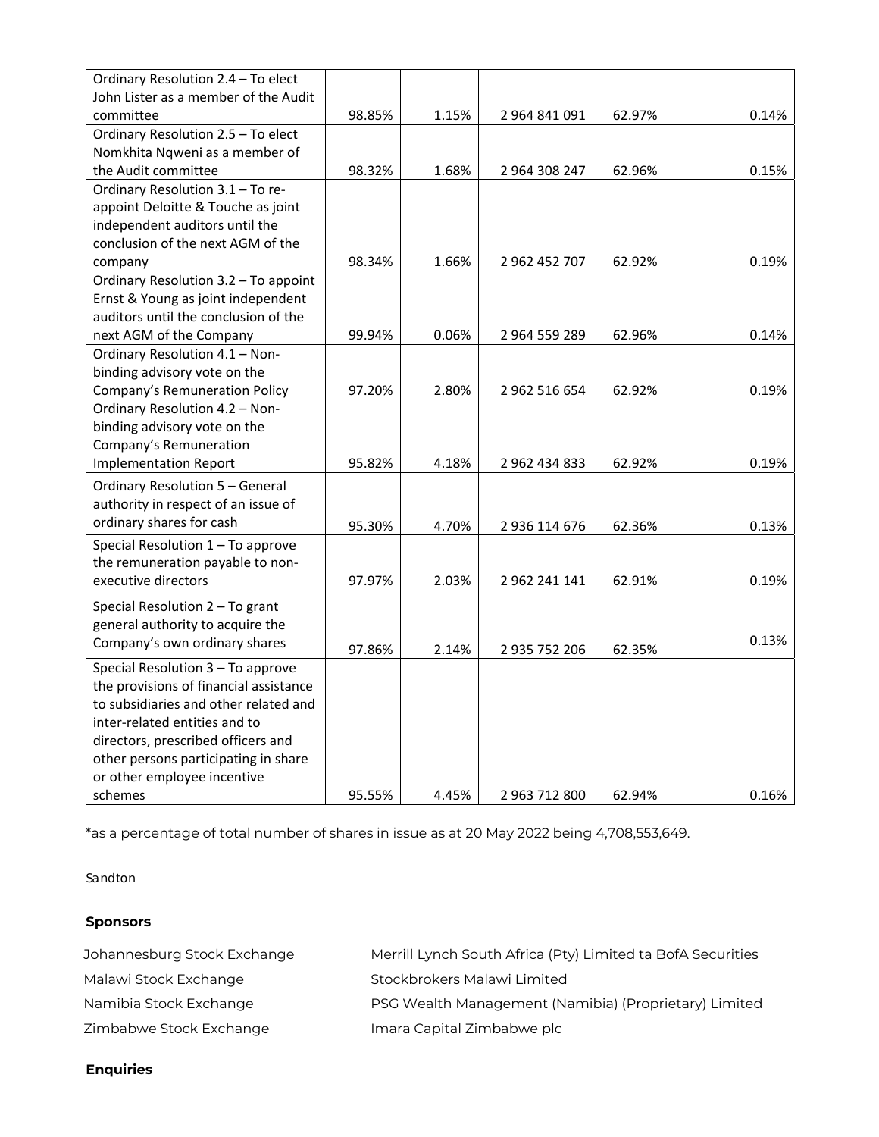| Ordinary Resolution 2.4 - To elect     |        |       |               |        |       |
|----------------------------------------|--------|-------|---------------|--------|-------|
| John Lister as a member of the Audit   |        |       |               |        |       |
| committee                              | 98.85% | 1.15% | 2 964 841 091 | 62.97% | 0.14% |
| Ordinary Resolution 2.5 - To elect     |        |       |               |        |       |
| Nomkhita Ngweni as a member of         |        |       |               |        |       |
| the Audit committee                    | 98.32% | 1.68% | 2 964 308 247 | 62.96% | 0.15% |
| Ordinary Resolution 3.1 - To re-       |        |       |               |        |       |
| appoint Deloitte & Touche as joint     |        |       |               |        |       |
| independent auditors until the         |        |       |               |        |       |
| conclusion of the next AGM of the      |        |       |               |        |       |
| company                                | 98.34% | 1.66% | 2 962 452 707 | 62.92% | 0.19% |
| Ordinary Resolution 3.2 - To appoint   |        |       |               |        |       |
| Ernst & Young as joint independent     |        |       |               |        |       |
| auditors until the conclusion of the   |        |       |               |        |       |
| next AGM of the Company                | 99.94% | 0.06% | 2 964 559 289 | 62.96% | 0.14% |
| Ordinary Resolution 4.1 - Non-         |        |       |               |        |       |
| binding advisory vote on the           |        |       |               |        |       |
| Company's Remuneration Policy          | 97.20% | 2.80% | 2 962 516 654 | 62.92% | 0.19% |
| Ordinary Resolution 4.2 - Non-         |        |       |               |        |       |
| binding advisory vote on the           |        |       |               |        |       |
| Company's Remuneration                 |        |       |               |        |       |
| <b>Implementation Report</b>           | 95.82% | 4.18% | 2 962 434 833 | 62.92% | 0.19% |
| Ordinary Resolution 5 - General        |        |       |               |        |       |
| authority in respect of an issue of    |        |       |               |        |       |
| ordinary shares for cash               |        |       |               |        |       |
|                                        | 95.30% | 4.70% | 2 936 114 676 | 62.36% | 0.13% |
| Special Resolution 1 - To approve      |        |       |               |        |       |
| the remuneration payable to non-       |        |       |               |        |       |
| executive directors                    | 97.97% | 2.03% | 2 962 241 141 | 62.91% | 0.19% |
| Special Resolution 2 - To grant        |        |       |               |        |       |
| general authority to acquire the       |        |       |               |        |       |
| Company's own ordinary shares          | 97.86% | 2.14% | 2 935 752 206 | 62.35% | 0.13% |
| Special Resolution 3 - To approve      |        |       |               |        |       |
| the provisions of financial assistance |        |       |               |        |       |
| to subsidiaries and other related and  |        |       |               |        |       |
| inter-related entities and to          |        |       |               |        |       |
| directors, prescribed officers and     |        |       |               |        |       |
| other persons participating in share   |        |       |               |        |       |
| or other employee incentive            |        |       |               |        |       |
| schemes                                | 95.55% | 4.45% | 2 963 712 800 | 62.94% | 0.16% |

\*as a percentage of total number of shares in issue as at 20 May 2022 being 4,708,553,649.

Sandton

## **Sponsors**

| Johannesburg Stock Exchange | Merrill Lynch South Africa (Pty) Limited ta BofA Securities |
|-----------------------------|-------------------------------------------------------------|
| Malawi Stock Exchange       | Stockbrokers Malawi Limited                                 |
| Namibia Stock Exchange      | PSG Wealth Management (Namibia) (Proprietary) Limited       |
| Zimbabwe Stock Exchange     | Imara Capital Zimbabwe plc                                  |

# **Enquiries**